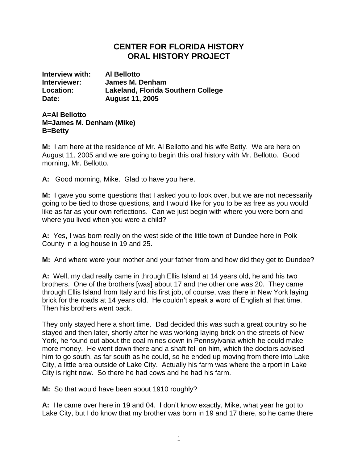## **CENTER FOR FLORIDA HISTORY ORAL HISTORY PROJECT**

**Interview with: Al Bellotto Interviewer: James M. Denham Location: Lakeland, Florida Southern College Date: August 11, 2005**

## **A=Al Bellotto M=James M. Denham (Mike) B=Betty**

**M:** I am here at the residence of Mr. Al Bellotto and his wife Betty. We are here on August 11, 2005 and we are going to begin this oral history with Mr. Bellotto. Good morning, Mr. Bellotto.

**A:** Good morning, Mike. Glad to have you here.

**M:** I gave you some questions that I asked you to look over, but we are not necessarily going to be tied to those questions, and I would like for you to be as free as you would like as far as your own reflections. Can we just begin with where you were born and where you lived when you were a child?

**A:** Yes, I was born really on the west side of the little town of Dundee here in Polk County in a log house in 19 and 25.

**M:** And where were your mother and your father from and how did they get to Dundee?

**A:** Well, my dad really came in through Ellis Island at 14 years old, he and his two brothers. One of the brothers [was] about 17 and the other one was 20. They came through Ellis Island from Italy and his first job, of course, was there in New York laying brick for the roads at 14 years old. He couldn't speak a word of English at that time. Then his brothers went back.

They only stayed here a short time. Dad decided this was such a great country so he stayed and then later, shortly after he was working laying brick on the streets of New York, he found out about the coal mines down in Pennsylvania which he could make more money. He went down there and a shaft fell on him, which the doctors advised him to go south, as far south as he could, so he ended up moving from there into Lake City, a little area outside of Lake City. Actually his farm was where the airport in Lake City is right now. So there he had cows and he had his farm.

**M:** So that would have been about 1910 roughly?

**A:** He came over here in 19 and 04. I don't know exactly, Mike, what year he got to Lake City, but I do know that my brother was born in 19 and 17 there, so he came there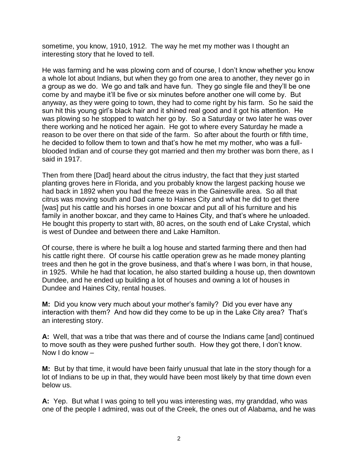sometime, you know, 1910, 1912. The way he met my mother was I thought an interesting story that he loved to tell.

He was farming and he was plowing corn and of course, I don't know whether you know a whole lot about Indians, but when they go from one area to another, they never go in a group as we do. We go and talk and have fun. They go single file and they'll be one come by and maybe it'll be five or six minutes before another one will come by. But anyway, as they were going to town, they had to come right by his farm. So he said the sun hit this young girl's black hair and it shined real good and it got his attention. He was plowing so he stopped to watch her go by. So a Saturday or two later he was over there working and he noticed her again. He got to where every Saturday he made a reason to be over there on that side of the farm. So after about the fourth or fifth time, he decided to follow them to town and that's how he met my mother, who was a fullblooded Indian and of course they got married and then my brother was born there, as I said in 1917.

Then from there [Dad] heard about the citrus industry, the fact that they just started planting groves here in Florida, and you probably know the largest packing house we had back in 1892 when you had the freeze was in the Gainesville area. So all that citrus was moving south and Dad came to Haines City and what he did to get there [was] put his cattle and his horses in one boxcar and put all of his furniture and his family in another boxcar, and they came to Haines City, and that's where he unloaded. He bought this property to start with, 80 acres, on the south end of Lake Crystal, which is west of Dundee and between there and Lake Hamilton.

Of course, there is where he built a log house and started farming there and then had his cattle right there. Of course his cattle operation grew as he made money planting trees and then he got in the grove business, and that's where I was born, in that house, in 1925. While he had that location, he also started building a house up, then downtown Dundee, and he ended up building a lot of houses and owning a lot of houses in Dundee and Haines City, rental houses.

**M:** Did you know very much about your mother's family? Did you ever have any interaction with them? And how did they come to be up in the Lake City area? That's an interesting story.

**A:** Well, that was a tribe that was there and of course the Indians came [and] continued to move south as they were pushed further south. How they got there, I don't know. Now I do know –

**M:** But by that time, it would have been fairly unusual that late in the story though for a lot of Indians to be up in that, they would have been most likely by that time down even below us.

**A:** Yep. But what I was going to tell you was interesting was, my granddad, who was one of the people I admired, was out of the Creek, the ones out of Alabama, and he was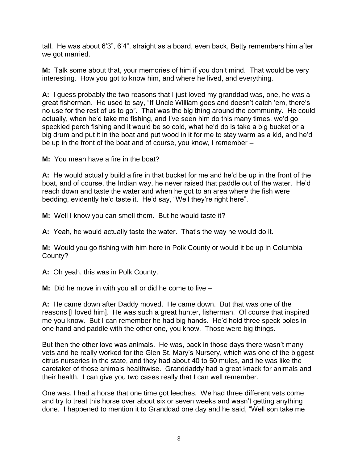tall. He was about 6'3", 6'4", straight as a board, even back, Betty remembers him after we got married.

**M:** Talk some about that, your memories of him if you don't mind. That would be very interesting. How you got to know him, and where he lived, and everything.

**A:** I guess probably the two reasons that I just loved my granddad was, one, he was a great fisherman. He used to say, "If Uncle William goes and doesn't catch 'em, there's no use for the rest of us to go". That was the big thing around the community. He could actually, when he'd take me fishing, and I've seen him do this many times, we'd go speckled perch fishing and it would be so cold, what he'd do is take a big bucket or a big drum and put it in the boat and put wood in it for me to stay warm as a kid, and he'd be up in the front of the boat and of course, you know, I remember –

**M:** You mean have a fire in the boat?

**A:** He would actually build a fire in that bucket for me and he'd be up in the front of the boat, and of course, the Indian way, he never raised that paddle out of the water. He'd reach down and taste the water and when he got to an area where the fish were bedding, evidently he'd taste it. He'd say, "Well they're right here".

**M:** Well I know you can smell them. But he would taste it?

**A:** Yeah, he would actually taste the water. That's the way he would do it.

**M:** Would you go fishing with him here in Polk County or would it be up in Columbia County?

**A:** Oh yeah, this was in Polk County.

**M:** Did he move in with you all or did he come to live –

**A:** He came down after Daddy moved. He came down. But that was one of the reasons [I loved him]. He was such a great hunter, fisherman. Of course that inspired me you know. But I can remember he had big hands. He'd hold three speck poles in one hand and paddle with the other one, you know. Those were big things.

But then the other love was animals. He was, back in those days there wasn't many vets and he really worked for the Glen St. Mary's Nursery, which was one of the biggest citrus nurseries in the state, and they had about 40 to 50 mules, and he was like the caretaker of those animals healthwise. Granddaddy had a great knack for animals and their health. I can give you two cases really that I can well remember.

One was, I had a horse that one time got leeches. We had three different vets come and try to treat this horse over about six or seven weeks and wasn't getting anything done. I happened to mention it to Granddad one day and he said, "Well son take me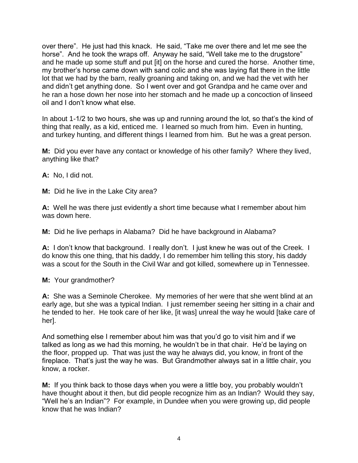over there". He just had this knack. He said, "Take me over there and let me see the horse". And he took the wraps off. Anyway he said, "Well take me to the drugstore" and he made up some stuff and put [it] on the horse and cured the horse. Another time, my brother's horse came down with sand colic and she was laying flat there in the little lot that we had by the barn, really groaning and taking on, and we had the vet with her and didn't get anything done. So I went over and got Grandpa and he came over and he ran a hose down her nose into her stomach and he made up a concoction of linseed oil and I don't know what else.

In about 1-1/2 to two hours, she was up and running around the lot, so that's the kind of thing that really, as a kid, enticed me. I learned so much from him. Even in hunting, and turkey hunting, and different things I learned from him. But he was a great person.

**M:** Did you ever have any contact or knowledge of his other family? Where they lived, anything like that?

**A:** No, I did not.

**M:** Did he live in the Lake City area?

**A:** Well he was there just evidently a short time because what I remember about him was down here.

**M:** Did he live perhaps in Alabama? Did he have background in Alabama?

**A:** I don't know that background. I really don't. I just knew he was out of the Creek. I do know this one thing, that his daddy, I do remember him telling this story, his daddy was a scout for the South in the Civil War and got killed, somewhere up in Tennessee.

**M:** Your grandmother?

**A:** She was a Seminole Cherokee. My memories of her were that she went blind at an early age, but she was a typical Indian. I just remember seeing her sitting in a chair and he tended to her. He took care of her like, [it was] unreal the way he would [take care of her].

And something else I remember about him was that you'd go to visit him and if we talked as long as we had this morning, he wouldn't be in that chair. He'd be laying on the floor, propped up. That was just the way he always did, you know, in front of the fireplace. That's just the way he was. But Grandmother always sat in a little chair, you know, a rocker.

**M:** If you think back to those days when you were a little boy, you probably wouldn't have thought about it then, but did people recognize him as an Indian? Would they say, "Well he's an Indian"? For example, in Dundee when you were growing up, did people know that he was Indian?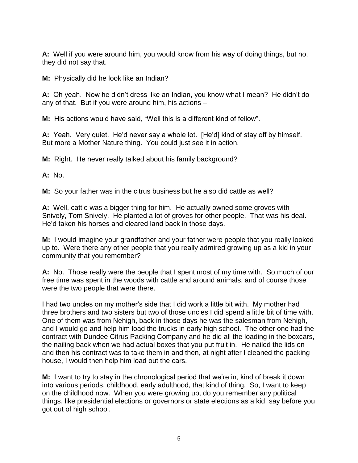**A:** Well if you were around him, you would know from his way of doing things, but no, they did not say that.

**M:** Physically did he look like an Indian?

**A:** Oh yeah. Now he didn't dress like an Indian, you know what I mean? He didn't do any of that. But if you were around him, his actions –

**M:** His actions would have said, "Well this is a different kind of fellow".

**A:** Yeah. Very quiet. He'd never say a whole lot. [He'd] kind of stay off by himself. But more a Mother Nature thing. You could just see it in action.

**M:** Right. He never really talked about his family background?

**A:** No.

**M:** So your father was in the citrus business but he also did cattle as well?

**A:** Well, cattle was a bigger thing for him. He actually owned some groves with Snively, Tom Snively. He planted a lot of groves for other people. That was his deal. He'd taken his horses and cleared land back in those days.

**M:** I would imagine your grandfather and your father were people that you really looked up to. Were there any other people that you really admired growing up as a kid in your community that you remember?

**A:** No. Those really were the people that I spent most of my time with. So much of our free time was spent in the woods with cattle and around animals, and of course those were the two people that were there.

I had two uncles on my mother's side that I did work a little bit with. My mother had three brothers and two sisters but two of those uncles I did spend a little bit of time with. One of them was from Nehigh, back in those days he was the salesman from Nehigh, and I would go and help him load the trucks in early high school. The other one had the contract with Dundee Citrus Packing Company and he did all the loading in the boxcars, the nailing back when we had actual boxes that you put fruit in. He nailed the lids on and then his contract was to take them in and then, at night after I cleaned the packing house, I would then help him load out the cars.

**M:** I want to try to stay in the chronological period that we're in, kind of break it down into various periods, childhood, early adulthood, that kind of thing. So, I want to keep on the childhood now. When you were growing up, do you remember any political things, like presidential elections or governors or state elections as a kid, say before you got out of high school.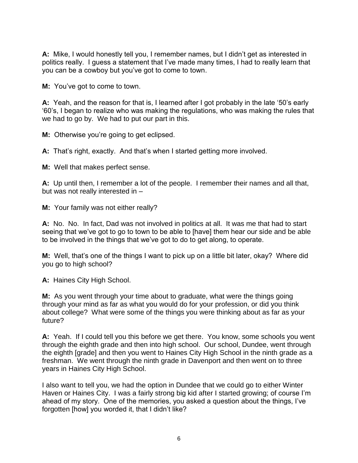**A:** Mike, I would honestly tell you, I remember names, but I didn't get as interested in politics really. I guess a statement that I've made many times, I had to really learn that you can be a cowboy but you've got to come to town.

**M:** You've got to come to town.

**A:** Yeah, and the reason for that is, I learned after I got probably in the late '50's early '60's, I began to realize who was making the regulations, who was making the rules that we had to go by. We had to put our part in this.

**M:** Otherwise you're going to get eclipsed.

**A:** That's right, exactly. And that's when I started getting more involved.

**M:** Well that makes perfect sense.

**A:** Up until then, I remember a lot of the people. I remember their names and all that, but was not really interested in –

**M:** Your family was not either really?

**A:** No. No. In fact, Dad was not involved in politics at all. It was me that had to start seeing that we've got to go to town to be able to [have] them hear our side and be able to be involved in the things that we've got to do to get along, to operate.

**M:** Well, that's one of the things I want to pick up on a little bit later, okay? Where did you go to high school?

**A:** Haines City High School.

**M:** As you went through your time about to graduate, what were the things going through your mind as far as what you would do for your profession, or did you think about college? What were some of the things you were thinking about as far as your future?

**A:** Yeah. If I could tell you this before we get there. You know, some schools you went through the eighth grade and then into high school. Our school, Dundee, went through the eighth [grade] and then you went to Haines City High School in the ninth grade as a freshman. We went through the ninth grade in Davenport and then went on to three years in Haines City High School.

I also want to tell you, we had the option in Dundee that we could go to either Winter Haven or Haines City. I was a fairly strong big kid after I started growing; of course I'm ahead of my story. One of the memories, you asked a question about the things, I've forgotten [how] you worded it, that I didn't like?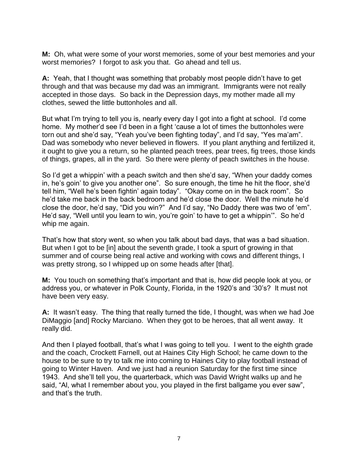**M:** Oh, what were some of your worst memories, some of your best memories and your worst memories? I forgot to ask you that. Go ahead and tell us.

**A:** Yeah, that I thought was something that probably most people didn't have to get through and that was because my dad was an immigrant. Immigrants were not really accepted in those days. So back in the Depression days, my mother made all my clothes, sewed the little buttonholes and all.

But what I'm trying to tell you is, nearly every day I got into a fight at school. I'd come home. My mother'd see I'd been in a fight 'cause a lot of times the buttonholes were torn out and she'd say, "Yeah you've been fighting today", and I'd say, "Yes ma'am". Dad was somebody who never believed in flowers. If you plant anything and fertilized it, it ought to give you a return, so he planted peach trees, pear trees, fig trees, those kinds of things, grapes, all in the yard. So there were plenty of peach switches in the house.

So I'd get a whippin' with a peach switch and then she'd say, "When your daddy comes in, he's goin' to give you another one". So sure enough, the time he hit the floor, she'd tell him, "Well he's been fightin' again today". "Okay come on in the back room". So he'd take me back in the back bedroom and he'd close the door. Well the minute he'd close the door, he'd say, "Did you win?" And I'd say, "No Daddy there was two of 'em". He'd say, "Well until you learn to win, you're goin' to have to get a whippin'". So he'd whip me again.

That's how that story went, so when you talk about bad days, that was a bad situation. But when I got to be [in] about the seventh grade, I took a spurt of growing in that summer and of course being real active and working with cows and different things, I was pretty strong, so I whipped up on some heads after [that].

**M:** You touch on something that's important and that is, how did people look at you, or address you, or whatever in Polk County, Florida, in the 1920's and '30's? It must not have been very easy.

**A:** It wasn't easy. The thing that really turned the tide, I thought, was when we had Joe DiMaggio [and] Rocky Marciano. When they got to be heroes, that all went away. It really did.

And then I played football, that's what I was going to tell you. I went to the eighth grade and the coach, Crockett Farnell, out at Haines City High School; he came down to the house to be sure to try to talk me into coming to Haines City to play football instead of going to Winter Haven. And we just had a reunion Saturday for the first time since 1943. And she'll tell you, the quarterback, which was David Wright walks up and he said, "Al, what I remember about you, you played in the first ballgame you ever saw", and that's the truth.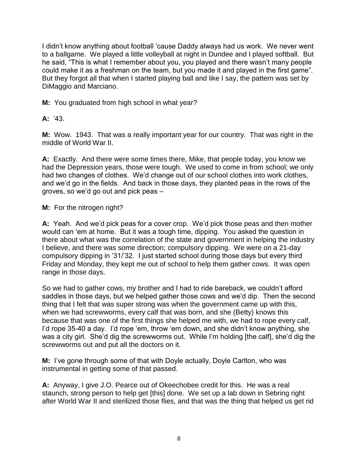I didn't know anything about football 'cause Daddy always had us work. We never went to a ballgame. We played a little volleyball at night in Dundee and I played softball. But he said, "This is what I remember about you, you played and there wasn't many people could make it as a freshman on the team, but you made it and played in the first game". But they forgot all that when I started playing ball and like I say, the pattern was set by DiMaggio and Marciano.

**M:** You graduated from high school in what year?

**A:** '43.

**M:** Wow. 1943. That was a really important year for our country. That was right in the middle of World War II.

**A:** Exactly. And there were some times there, Mike, that people today, you know we had the Depression years, those were tough. We used to come in from school; we only had two changes of clothes. We'd change out of our school clothes into work clothes, and we'd go in the fields. And back in those days, they planted peas in the rows of the groves, so we'd go out and pick peas –

## **M:** For the nitrogen right?

**A:** Yeah. And we'd pick peas for a cover crop. We'd pick those peas and then mother would can 'em at home. But it was a tough time, dipping. You asked the question in there about what was the correlation of the state and government in helping the industry I believe, and there was some direction; compulsory dipping. We were on a 21-day compulsory dipping in '31/'32. I just started school during those days but every third Friday and Monday, they kept me out of school to help them gather cows. It was open range in those days.

So we had to gather cows, my brother and I had to ride bareback, we couldn't afford saddles in those days, but we helped gather those cows and we'd dip. Then the second thing that I felt that was super strong was when the government came up with this, when we had screwworms, every calf that was born, and she (Betty) knows this because that was one of the first things she helped me with, we had to rope every calf, I'd rope 35-40 a day. I'd rope 'em, throw 'em down, and she didn't know anything, she was a city girl. She'd dig the screwworms out. While I'm holding [the calf], she'd dig the screwworms out and put all the doctors on it.

**M:** I've gone through some of that with Doyle actually, Doyle Carlton, who was instrumental in getting some of that passed.

**A:** Anyway, I give J.O. Pearce out of Okeechobee credit for this. He was a real staunch, strong person to help get [this] done. We set up a lab down in Sebring right after World War II and sterilized those flies, and that was the thing that helped us get rid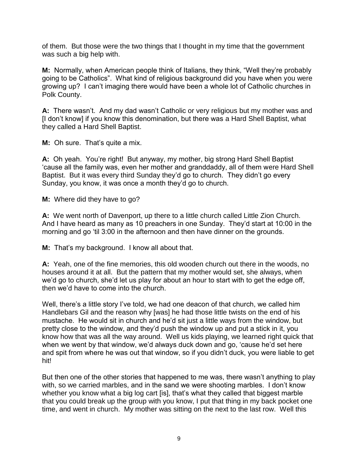of them. But those were the two things that I thought in my time that the government was such a big help with.

**M:** Normally, when American people think of Italians, they think, "Well they're probably going to be Catholics". What kind of religious background did you have when you were growing up? I can't imaging there would have been a whole lot of Catholic churches in Polk County.

**A:** There wasn't. And my dad wasn't Catholic or very religious but my mother was and [I don't know] if you know this denomination, but there was a Hard Shell Baptist, what they called a Hard Shell Baptist.

**M:** Oh sure. That's quite a mix.

**A:** Oh yeah. You're right! But anyway, my mother, big strong Hard Shell Baptist 'cause all the family was, even her mother and granddaddy, all of them were Hard Shell Baptist. But it was every third Sunday they'd go to church. They didn't go every Sunday, you know, it was once a month they'd go to church.

**M:** Where did they have to go?

**A:** We went north of Davenport, up there to a little church called Little Zion Church. And I have heard as many as 10 preachers in one Sunday. They'd start at 10:00 in the morning and go 'til 3:00 in the afternoon and then have dinner on the grounds.

**M:** That's my background. I know all about that.

**A:** Yeah, one of the fine memories, this old wooden church out there in the woods, no houses around it at all. But the pattern that my mother would set, she always, when we'd go to church, she'd let us play for about an hour to start with to get the edge off, then we'd have to come into the church.

Well, there's a little story I've told, we had one deacon of that church, we called him Handlebars Gil and the reason why [was] he had those little twists on the end of his mustache. He would sit in church and he'd sit just a little ways from the window, but pretty close to the window, and they'd push the window up and put a stick in it, you know how that was all the way around. Well us kids playing, we learned right quick that when we went by that window, we'd always duck down and go, 'cause he'd set here and spit from where he was out that window, so if you didn't duck, you were liable to get hit!

But then one of the other stories that happened to me was, there wasn't anything to play with, so we carried marbles, and in the sand we were shooting marbles. I don't know whether you know what a big log cart [is], that's what they called that biggest marble that you could break up the group with you know, I put that thing in my back pocket one time, and went in church. My mother was sitting on the next to the last row. Well this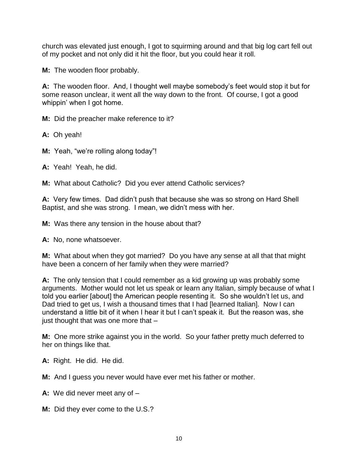church was elevated just enough, I got to squirming around and that big log cart fell out of my pocket and not only did it hit the floor, but you could hear it roll.

**M:** The wooden floor probably.

**A:** The wooden floor. And, I thought well maybe somebody's feet would stop it but for some reason unclear, it went all the way down to the front. Of course, I got a good whippin' when I got home.

**M:** Did the preacher make reference to it?

**A:** Oh yeah!

**M:** Yeah, "we're rolling along today"!

**A:** Yeah! Yeah, he did.

**M:** What about Catholic? Did you ever attend Catholic services?

**A:** Very few times. Dad didn't push that because she was so strong on Hard Shell Baptist, and she was strong. I mean, we didn't mess with her.

**M:** Was there any tension in the house about that?

**A:** No, none whatsoever.

**M:** What about when they got married? Do you have any sense at all that that might have been a concern of her family when they were married?

**A:** The only tension that I could remember as a kid growing up was probably some arguments. Mother would not let us speak or learn any Italian, simply because of what I told you earlier [about] the American people resenting it. So she wouldn't let us, and Dad tried to get us, I wish a thousand times that I had [learned Italian]. Now I can understand a little bit of it when I hear it but I can't speak it. But the reason was, she just thought that was one more that –

**M:** One more strike against you in the world. So your father pretty much deferred to her on things like that.

**A:** Right. He did. He did.

**M:** And I guess you never would have ever met his father or mother.

**A:** We did never meet any of –

**M:** Did they ever come to the U.S.?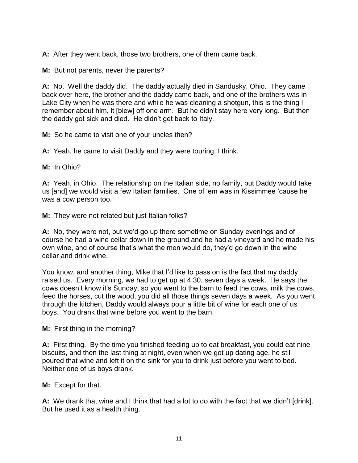**A:** After they went back, those two brothers, one of them came back.

**M:** But not parents, never the parents?

**A:** No. Well the daddy did. The daddy actually died in Sandusky, Ohio. They came back over here, the brother and the daddy came back, and one of the brothers was in Lake City when he was there and while he was cleaning a shotgun, this is the thing I remember about him, it [blew] off one arm. But he didn't stay here very long. But then the daddy got sick and died. He didn't get back to Italy.

**M:** So he came to visit one of your uncles then?

**A:** Yeah, he came to visit Daddy and they were touring, I think.

**M:** In Ohio?

**A:** Yeah, in Ohio. The relationship on the Italian side, no family, but Daddy would take us [and] we would visit a few Italian families. One of 'em was in Kissimmee 'cause he was a cow person too.

**M:** They were not related but just Italian folks?

**A:** No, they were not, but we'd go up there sometime on Sunday evenings and of course he had a wine cellar down in the ground and he had a vineyard and he made his own wine, and of course that's what the men would do, they'd go down in the wine cellar and drink wine.

You know, and another thing, Mike that I'd like to pass on is the fact that my daddy raised us. Every morning, we had to get up at 4:30, seven days a week. He says the cows doesn't know it's Sunday, so you went to the barn to feed the cows, milk the cows, feed the horses, cut the wood, you did all those things seven days a week. As you went through the kitchen, Daddy would always pour a little bit of wine for each one of us boys. You drank that wine before you went to the barn.

**M:** First thing in the morning?

**A:** First thing. By the time you finished feeding up to eat breakfast, you could eat nine biscuits, and then the last thing at night, even when we got up dating age, he still poured that wine and left it on the sink for you to drink just before you went to bed. Neither one of us boys drank.

**M:** Except for that.

**A:** We drank that wine and I think that had a lot to do with the fact that we didn't [drink]. But he used it as a health thing.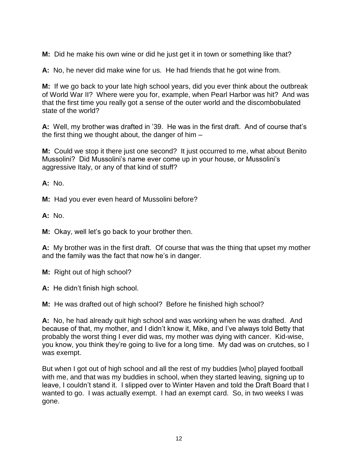**M:** Did he make his own wine or did he just get it in town or something like that?

**A:** No, he never did make wine for us. He had friends that he got wine from.

**M:** If we go back to your late high school years, did you ever think about the outbreak of World War II? Where were you for, example, when Pearl Harbor was hit? And was that the first time you really got a sense of the outer world and the discombobulated state of the world?

**A:** Well, my brother was drafted in '39. He was in the first draft. And of course that's the first thing we thought about, the danger of him –

**M:** Could we stop it there just one second? It just occurred to me, what about Benito Mussolini? Did Mussolini's name ever come up in your house, or Mussolini's aggressive Italy, or any of that kind of stuff?

**A:** No.

**M:** Had you ever even heard of Mussolini before?

**A:** No.

**M:** Okay, well let's go back to your brother then.

**A:** My brother was in the first draft. Of course that was the thing that upset my mother and the family was the fact that now he's in danger.

**M:** Right out of high school?

**A:** He didn't finish high school.

**M:** He was drafted out of high school? Before he finished high school?

**A:** No, he had already quit high school and was working when he was drafted. And because of that, my mother, and I didn't know it, Mike, and I've always told Betty that probably the worst thing I ever did was, my mother was dying with cancer. Kid-wise, you know, you think they're going to live for a long time. My dad was on crutches, so I was exempt.

But when I got out of high school and all the rest of my buddies [who] played football with me, and that was my buddies in school, when they started leaving, signing up to leave, I couldn't stand it. I slipped over to Winter Haven and told the Draft Board that I wanted to go. I was actually exempt. I had an exempt card. So, in two weeks I was gone.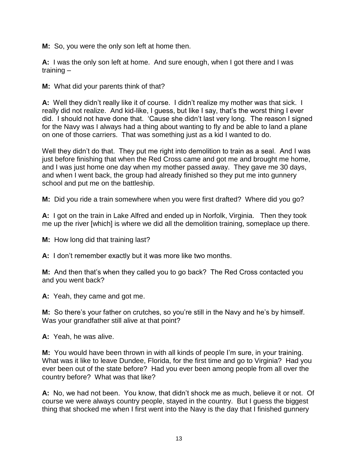**M:** So, you were the only son left at home then.

**A:** I was the only son left at home. And sure enough, when I got there and I was training –

**M:** What did your parents think of that?

**A:** Well they didn't really like it of course. I didn't realize my mother was that sick. I really did not realize. And kid-like, I guess, but like I say, that's the worst thing I ever did. I should not have done that. 'Cause she didn't last very long. The reason I signed for the Navy was I always had a thing about wanting to fly and be able to land a plane on one of those carriers. That was something just as a kid I wanted to do.

Well they didn't do that. They put me right into demolition to train as a seal. And I was just before finishing that when the Red Cross came and got me and brought me home, and I was just home one day when my mother passed away. They gave me 30 days, and when I went back, the group had already finished so they put me into gunnery school and put me on the battleship.

**M:** Did you ride a train somewhere when you were first drafted? Where did you go?

**A:** I got on the train in Lake Alfred and ended up in Norfolk, Virginia. Then they took me up the river [which] is where we did all the demolition training, someplace up there.

**M:** How long did that training last?

**A:** I don't remember exactly but it was more like two months.

**M:** And then that's when they called you to go back? The Red Cross contacted you and you went back?

**A:** Yeah, they came and got me.

**M:** So there's your father on crutches, so you're still in the Navy and he's by himself. Was your grandfather still alive at that point?

**A:** Yeah, he was alive.

**M:** You would have been thrown in with all kinds of people I'm sure, in your training. What was it like to leave Dundee, Florida, for the first time and go to Virginia? Had you ever been out of the state before? Had you ever been among people from all over the country before? What was that like?

**A:** No, we had not been. You know, that didn't shock me as much, believe it or not. Of course we were always country people, stayed in the country. But I guess the biggest thing that shocked me when I first went into the Navy is the day that I finished gunnery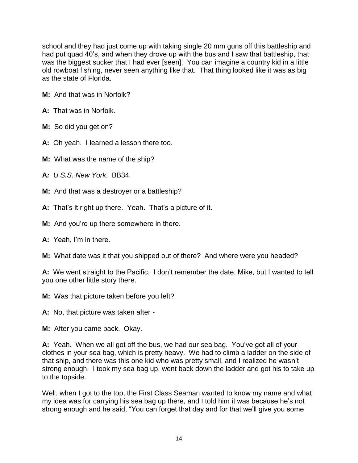school and they had just come up with taking single 20 mm guns off this battleship and had put quad 40's, and when they drove up with the bus and I saw that battleship, that was the biggest sucker that I had ever [seen]. You can imagine a country kid in a little old rowboat fishing, never seen anything like that. That thing looked like it was as big as the state of Florida.

- **M:** And that was in Norfolk?
- **A:** That was in Norfolk.
- **M:** So did you get on?
- **A:** Oh yeah. I learned a lesson there too.
- **M:** What was the name of the ship?
- **A***: U.S.S. New York*. BB34.
- **M:** And that was a destroyer or a battleship?
- **A:** That's it right up there. Yeah. That's a picture of it.
- **M:** And you're up there somewhere in there.
- **A:** Yeah, I'm in there.
- **M:** What date was it that you shipped out of there? And where were you headed?

**A:** We went straight to the Pacific. I don't remember the date, Mike, but I wanted to tell you one other little story there.

- **M:** Was that picture taken before you left?
- **A:** No, that picture was taken after -
- **M:** After you came back. Okay.

**A:** Yeah. When we all got off the bus, we had our sea bag. You've got all of your clothes in your sea bag, which is pretty heavy. We had to climb a ladder on the side of that ship, and there was this one kid who was pretty small, and I realized he wasn't strong enough. I took my sea bag up, went back down the ladder and got his to take up to the topside.

Well, when I got to the top, the First Class Seaman wanted to know my name and what my idea was for carrying his sea bag up there, and I told him it was because he's not strong enough and he said, "You can forget that day and for that we'll give you some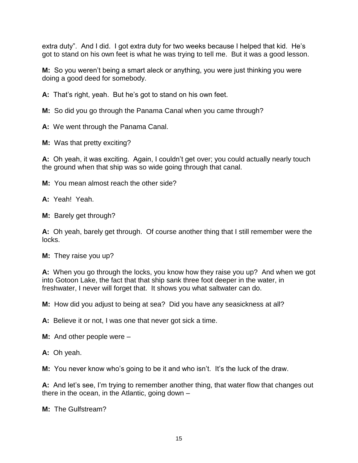extra duty". And I did. I got extra duty for two weeks because I helped that kid. He's got to stand on his own feet is what he was trying to tell me. But it was a good lesson.

**M:** So you weren't being a smart aleck or anything, you were just thinking you were doing a good deed for somebody.

**A:** That's right, yeah. But he's got to stand on his own feet.

**M:** So did you go through the Panama Canal when you came through?

**A:** We went through the Panama Canal.

**M:** Was that pretty exciting?

**A:** Oh yeah, it was exciting. Again, I couldn't get over; you could actually nearly touch the ground when that ship was so wide going through that canal.

**M:** You mean almost reach the other side?

**A:** Yeah! Yeah.

**M:** Barely get through?

**A:** Oh yeah, barely get through. Of course another thing that I still remember were the locks.

**M:** They raise you up?

**A:** When you go through the locks, you know how they raise you up? And when we got into Gotoon Lake, the fact that that ship sank three foot deeper in the water, in freshwater, I never will forget that. It shows you what saltwater can do.

**M:** How did you adjust to being at sea? Did you have any seasickness at all?

**A:** Believe it or not, I was one that never got sick a time.

**M:** And other people were –

**A:** Oh yeah.

**M:** You never know who's going to be it and who isn't. It's the luck of the draw.

**A:** And let's see, I'm trying to remember another thing, that water flow that changes out there in the ocean, in the Atlantic, going down –

**M:** The Gulfstream?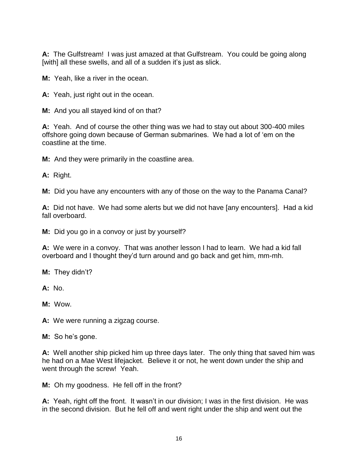**A:** The Gulfstream! I was just amazed at that Gulfstream. You could be going along [with] all these swells, and all of a sudden it's just as slick.

**M:** Yeah, like a river in the ocean.

**A:** Yeah, just right out in the ocean.

**M:** And you all stayed kind of on that?

**A:** Yeah. And of course the other thing was we had to stay out about 300-400 miles offshore going down because of German submarines. We had a lot of 'em on the coastline at the time.

**M:** And they were primarily in the coastline area.

**A:** Right.

**M:** Did you have any encounters with any of those on the way to the Panama Canal?

**A:** Did not have. We had some alerts but we did not have [any encounters]. Had a kid fall overboard.

**M:** Did you go in a convoy or just by yourself?

**A:** We were in a convoy. That was another lesson I had to learn. We had a kid fall overboard and I thought they'd turn around and go back and get him, mm-mh.

**M:** They didn't?

**A:** No.

**M:** Wow.

**A:** We were running a zigzag course.

**M:** So he's gone.

**A:** Well another ship picked him up three days later. The only thing that saved him was he had on a Mae West lifejacket. Believe it or not, he went down under the ship and went through the screw! Yeah.

**M:** Oh my goodness. He fell off in the front?

**A:** Yeah, right off the front. It wasn't in our division; I was in the first division. He was in the second division. But he fell off and went right under the ship and went out the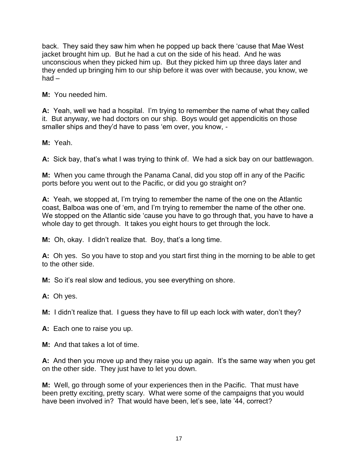back. They said they saw him when he popped up back there 'cause that Mae West jacket brought him up. But he had a cut on the side of his head. And he was unconscious when they picked him up. But they picked him up three days later and they ended up bringing him to our ship before it was over with because, you know, we had –

**M:** You needed him.

**A:** Yeah, well we had a hospital. I'm trying to remember the name of what they called it. But anyway, we had doctors on our ship. Boys would get appendicitis on those smaller ships and they'd have to pass 'em over, you know, -

**M:** Yeah.

**A:** Sick bay, that's what I was trying to think of. We had a sick bay on our battlewagon.

**M:** When you came through the Panama Canal, did you stop off in any of the Pacific ports before you went out to the Pacific, or did you go straight on?

**A:** Yeah, we stopped at, I'm trying to remember the name of the one on the Atlantic coast, Balboa was one of 'em, and I'm trying to remember the name of the other one. We stopped on the Atlantic side 'cause you have to go through that, you have to have a whole day to get through. It takes you eight hours to get through the lock.

**M:** Oh, okay. I didn't realize that. Boy, that's a long time.

**A:** Oh yes. So you have to stop and you start first thing in the morning to be able to get to the other side.

**M:** So it's real slow and tedious, you see everything on shore.

**A:** Oh yes.

**M:** I didn't realize that. I guess they have to fill up each lock with water, don't they?

**A:** Each one to raise you up.

**M:** And that takes a lot of time.

**A:** And then you move up and they raise you up again. It's the same way when you get on the other side. They just have to let you down.

**M:** Well, go through some of your experiences then in the Pacific. That must have been pretty exciting, pretty scary. What were some of the campaigns that you would have been involved in? That would have been, let's see, late '44, correct?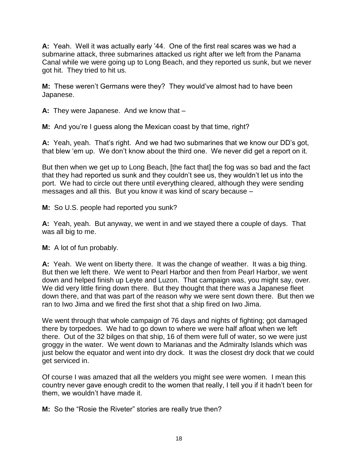**A:** Yeah. Well it was actually early '44. One of the first real scares was we had a submarine attack, three submarines attacked us right after we left from the Panama Canal while we were going up to Long Beach, and they reported us sunk, but we never got hit. They tried to hit us.

**M:** These weren't Germans were they? They would've almost had to have been Japanese.

**A:** They were Japanese. And we know that –

**M:** And you're I guess along the Mexican coast by that time, right?

**A:** Yeah, yeah. That's right. And we had two submarines that we know our DD's got, that blew 'em up. We don't know about the third one. We never did get a report on it.

But then when we get up to Long Beach, [the fact that] the fog was so bad and the fact that they had reported us sunk and they couldn't see us, they wouldn't let us into the port. We had to circle out there until everything cleared, although they were sending messages and all this. But you know it was kind of scary because –

**M:** So U.S. people had reported you sunk?

**A:** Yeah, yeah. But anyway, we went in and we stayed there a couple of days. That was all big to me.

**M:** A lot of fun probably.

**A:** Yeah. We went on liberty there. It was the change of weather. It was a big thing. But then we left there. We went to Pearl Harbor and then from Pearl Harbor, we went down and helped finish up Leyte and Luzon. That campaign was, you might say, over. We did very little firing down there. But they thought that there was a Japanese fleet down there, and that was part of the reason why we were sent down there. But then we ran to Iwo Jima and we fired the first shot that a ship fired on Iwo Jima.

We went through that whole campaign of 76 days and nights of fighting; got damaged there by torpedoes. We had to go down to where we were half afloat when we left there. Out of the 32 bilges on that ship, 16 of them were full of water, so we were just groggy in the water. We went down to Marianas and the Admiralty Islands which was just below the equator and went into dry dock. It was the closest dry dock that we could get serviced in.

Of course I was amazed that all the welders you might see were women. I mean this country never gave enough credit to the women that really, I tell you if it hadn't been for them, we wouldn't have made it.

**M:** So the "Rosie the Riveter" stories are really true then?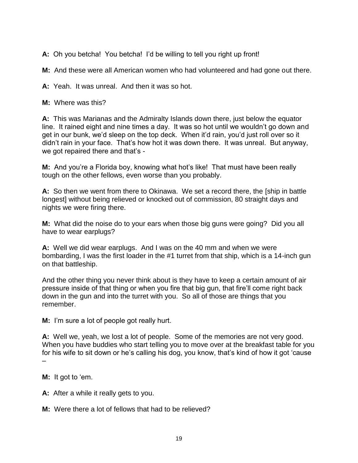**A:** Oh you betcha! You betcha! I'd be willing to tell you right up front!

**M:** And these were all American women who had volunteered and had gone out there.

**A:** Yeah. It was unreal. And then it was so hot.

**M:** Where was this?

**A:** This was Marianas and the Admiralty Islands down there, just below the equator line. It rained eight and nine times a day. It was so hot until we wouldn't go down and get in our bunk, we'd sleep on the top deck. When it'd rain, you'd just roll over so it didn't rain in your face. That's how hot it was down there. It was unreal. But anyway, we got repaired there and that's -

**M:** And you're a Florida boy, knowing what hot's like! That must have been really tough on the other fellows, even worse than you probably.

**A:** So then we went from there to Okinawa. We set a record there, the [ship in battle longest] without being relieved or knocked out of commission, 80 straight days and nights we were firing there.

**M:** What did the noise do to your ears when those big guns were going? Did you all have to wear earplugs?

**A:** Well we did wear earplugs. And I was on the 40 mm and when we were bombarding, I was the first loader in the #1 turret from that ship, which is a 14-inch gun on that battleship.

And the other thing you never think about is they have to keep a certain amount of air pressure inside of that thing or when you fire that big gun, that fire'll come right back down in the gun and into the turret with you. So all of those are things that you remember.

**M:** I'm sure a lot of people got really hurt.

**A:** Well we, yeah, we lost a lot of people. Some of the memories are not very good. When you have buddies who start telling you to move over at the breakfast table for you for his wife to sit down or he's calling his dog, you know, that's kind of how it got 'cause –

**M:** It got to 'em.

**A:** After a while it really gets to you.

**M:** Were there a lot of fellows that had to be relieved?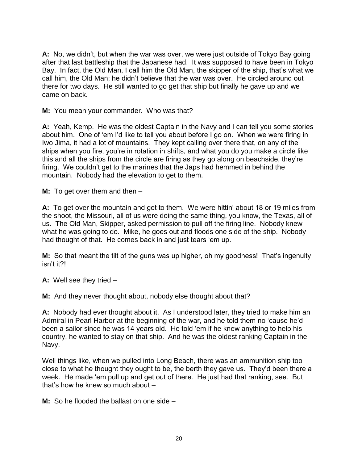**A:** No, we didn't, but when the war was over, we were just outside of Tokyo Bay going after that last battleship that the Japanese had. It was supposed to have been in Tokyo Bay. In fact, the Old Man, I call him the Old Man, the skipper of the ship, that's what we call him, the Old Man; he didn't believe that the war was over. He circled around out there for two days. He still wanted to go get that ship but finally he gave up and we came on back.

**M:** You mean your commander. Who was that?

**A:** Yeah, Kemp. He was the oldest Captain in the Navy and I can tell you some stories about him. One of 'em I'd like to tell you about before I go on. When we were firing in Iwo Jima, it had a lot of mountains. They kept calling over there that, on any of the ships when you fire, you're in rotation in shifts, and what you do you make a circle like this and all the ships from the circle are firing as they go along on beachside, they're firing. We couldn't get to the marines that the Japs had hemmed in behind the mountain. Nobody had the elevation to get to them.

**M:** To get over them and then –

**A:** To get over the mountain and get to them. We were hittin' about 18 or 19 miles from the shoot, the Missouri, all of us were doing the same thing, you know, the Texas, all of us. The Old Man, Skipper, asked permission to pull off the firing line. Nobody knew what he was going to do. Mike, he goes out and floods one side of the ship. Nobody had thought of that. He comes back in and just tears 'em up.

**M:** So that meant the tilt of the guns was up higher, oh my goodness! That's ingenuity isn't it?!

**A:** Well see they tried –

**M:** And they never thought about, nobody else thought about that?

**A:** Nobody had ever thought about it. As I understood later, they tried to make him an Admiral in Pearl Harbor at the beginning of the war, and he told them no 'cause he'd been a sailor since he was 14 years old. He told 'em if he knew anything to help his country, he wanted to stay on that ship. And he was the oldest ranking Captain in the Navy.

Well things like, when we pulled into Long Beach, there was an ammunition ship too close to what he thought they ought to be, the berth they gave us. They'd been there a week. He made 'em pull up and get out of there. He just had that ranking, see. But that's how he knew so much about –

**M:** So he flooded the ballast on one side –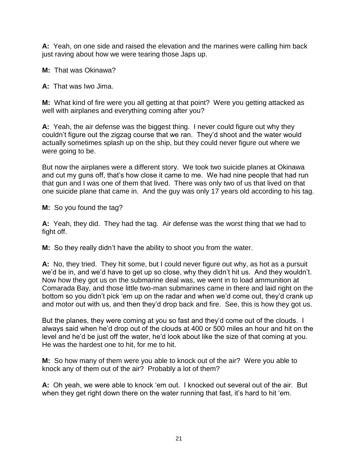**A:** Yeah, on one side and raised the elevation and the marines were calling him back just raving about how we were tearing those Japs up.

**M:** That was Okinawa?

**A:** That was Iwo Jima.

**M:** What kind of fire were you all getting at that point? Were you getting attacked as well with airplanes and everything coming after you?

**A:** Yeah, the air defense was the biggest thing. I never could figure out why they couldn't figure out the zigzag course that we ran. They'd shoot and the water would actually sometimes splash up on the ship, but they could never figure out where we were going to be.

But now the airplanes were a different story. We took two suicide planes at Okinawa and cut my guns off, that's how close it came to me. We had nine people that had run that gun and I was one of them that lived. There was only two of us that lived on that one suicide plane that came in. And the guy was only 17 years old according to his tag.

**M:** So you found the tag?

**A:** Yeah, they did. They had the tag. Air defense was the worst thing that we had to fight off.

**M:** So they really didn't have the ability to shoot you from the water.

**A:** No, they tried. They hit some, but I could never figure out why, as hot as a pursuit we'd be in, and we'd have to get up so close, why they didn't hit us. And they wouldn't. Now how they got us on the submarine deal was, we went in to load ammunition at Comarada Bay, and those little two-man submarines came in there and laid right on the bottom so you didn't pick 'em up on the radar and when we'd come out, they'd crank up and motor out with us, and then they'd drop back and fire. See, this is how they got us.

But the planes, they were coming at you so fast and they'd come out of the clouds. I always said when he'd drop out of the clouds at 400 or 500 miles an hour and hit on the level and he'd be just off the water, he'd look about like the size of that coming at you. He was the hardest one to hit, for me to hit.

**M:** So how many of them were you able to knock out of the air? Were you able to knock any of them out of the air? Probably a lot of them?

**A:** Oh yeah, we were able to knock 'em out. I knocked out several out of the air. But when they get right down there on the water running that fast, it's hard to hit 'em.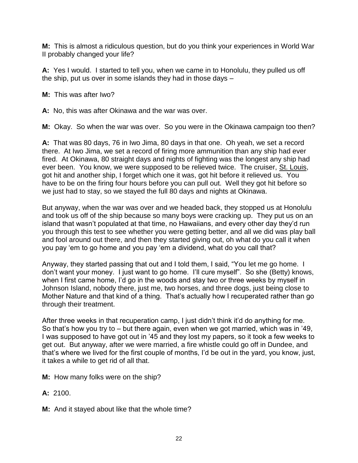**M:** This is almost a ridiculous question, but do you think your experiences in World War II probably changed your life?

**A:** Yes I would. I started to tell you, when we came in to Honolulu, they pulled us off the ship, put us over in some islands they had in those days –

**M:** This was after Iwo?

**A:** No, this was after Okinawa and the war was over.

**M:** Okay. So when the war was over. So you were in the Okinawa campaign too then?

**A:** That was 80 days, 76 in Iwo Jima, 80 days in that one. Oh yeah, we set a record there. At Iwo Jima, we set a record of firing more ammunition than any ship had ever fired. At Okinawa, 80 straight days and nights of fighting was the longest any ship had ever been. You know, we were supposed to be relieved twice. The cruiser, St. Louis, got hit and another ship, I forget which one it was, got hit before it relieved us. You have to be on the firing four hours before you can pull out. Well they got hit before so we just had to stay, so we stayed the full 80 days and nights at Okinawa.

But anyway, when the war was over and we headed back, they stopped us at Honolulu and took us off of the ship because so many boys were cracking up. They put us on an island that wasn't populated at that time, no Hawaiians, and every other day they'd run you through this test to see whether you were getting better, and all we did was play ball and fool around out there, and then they started giving out, oh what do you call it when you pay 'em to go home and you pay 'em a dividend, what do you call that?

Anyway, they started passing that out and I told them, I said, "You let me go home. I don't want your money. I just want to go home. I'll cure myself". So she (Betty) knows, when I first came home, I'd go in the woods and stay two or three weeks by myself in Johnson Island, nobody there, just me, two horses, and three dogs, just being close to Mother Nature and that kind of a thing. That's actually how I recuperated rather than go through their treatment.

After three weeks in that recuperation camp, I just didn't think it'd do anything for me. So that's how you try to – but there again, even when we got married, which was in '49, I was supposed to have got out in '45 and they lost my papers, so it took a few weeks to get out. But anyway, after we were married, a fire whistle could go off in Dundee, and that's where we lived for the first couple of months, I'd be out in the yard, you know, just, it takes a while to get rid of all that.

- **M:** How many folks were on the ship?
- **A:** 2100.
- **M:** And it stayed about like that the whole time?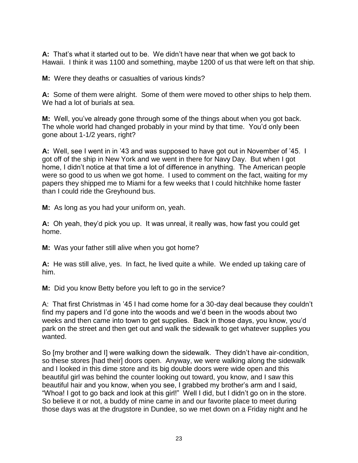**A:** That's what it started out to be. We didn't have near that when we got back to Hawaii. I think it was 1100 and something, maybe 1200 of us that were left on that ship.

**M:** Were they deaths or casualties of various kinds?

**A:** Some of them were alright. Some of them were moved to other ships to help them. We had a lot of burials at sea.

**M:** Well, you've already gone through some of the things about when you got back. The whole world had changed probably in your mind by that time. You'd only been gone about 1-1/2 years, right?

**A:** Well, see I went in in '43 and was supposed to have got out in November of '45. I got off of the ship in New York and we went in there for Navy Day. But when I got home, I didn't notice at that time a lot of difference in anything. The American people were so good to us when we got home. I used to comment on the fact, waiting for my papers they shipped me to Miami for a few weeks that I could hitchhike home faster than I could ride the Greyhound bus.

**M:** As long as you had your uniform on, yeah.

**A:** Oh yeah, they'd pick you up. It was unreal, it really was, how fast you could get home.

**M:** Was your father still alive when you got home?

**A:** He was still alive, yes. In fact, he lived quite a while. We ended up taking care of him.

**M:** Did you know Betty before you left to go in the service?

A: That first Christmas in '45 I had come home for a 30-day deal because they couldn't find my papers and I'd gone into the woods and we'd been in the woods about two weeks and then came into town to get supplies. Back in those days, you know, you'd park on the street and then get out and walk the sidewalk to get whatever supplies you wanted.

So [my brother and I] were walking down the sidewalk. They didn't have air-condition, so these stores [had their] doors open. Anyway, we were walking along the sidewalk and I looked in this dime store and its big double doors were wide open and this beautiful girl was behind the counter looking out toward, you know, and I saw this beautiful hair and you know, when you see, I grabbed my brother's arm and I said, "Whoa! I got to go back and look at this girl!" Well I did, but I didn't go on in the store. So believe it or not, a buddy of mine came in and our favorite place to meet during those days was at the drugstore in Dundee, so we met down on a Friday night and he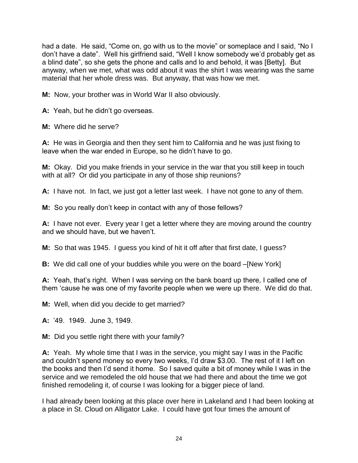had a date. He said, "Come on, go with us to the movie" or someplace and I said, "No I don't have a date". Well his girlfriend said, "Well I know somebody we'd probably get as a blind date", so she gets the phone and calls and lo and behold, it was [Betty]. But anyway, when we met, what was odd about it was the shirt I was wearing was the same material that her whole dress was. But anyway, that was how we met.

**M:** Now, your brother was in World War II also obviously.

**A:** Yeah, but he didn't go overseas.

**M:** Where did he serve?

**A:** He was in Georgia and then they sent him to California and he was just fixing to leave when the war ended in Europe, so he didn't have to go.

**M:** Okay. Did you make friends in your service in the war that you still keep in touch with at all? Or did you participate in any of those ship reunions?

**A:** I have not. In fact, we just got a letter last week. I have not gone to any of them.

**M:** So you really don't keep in contact with any of those fellows?

**A:** I have not ever. Every year I get a letter where they are moving around the country and we should have, but we haven't.

**M:** So that was 1945. I guess you kind of hit it off after that first date, I guess?

**B:** We did call one of your buddies while you were on the board –[New York]

**A:** Yeah, that's right. When I was serving on the bank board up there, I called one of them 'cause he was one of my favorite people when we were up there. We did do that.

**M:** Well, when did you decide to get married?

**A:** '49. 1949. June 3, 1949.

**M:** Did you settle right there with your family?

**A:** Yeah. My whole time that I was in the service, you might say I was in the Pacific and couldn't spend money so every two weeks, I'd draw \$3.00. The rest of it I left on the books and then I'd send it home. So I saved quite a bit of money while I was in the service and we remodeled the old house that we had there and about the time we got finished remodeling it, of course I was looking for a bigger piece of land.

I had already been looking at this place over here in Lakeland and I had been looking at a place in St. Cloud on Alligator Lake. I could have got four times the amount of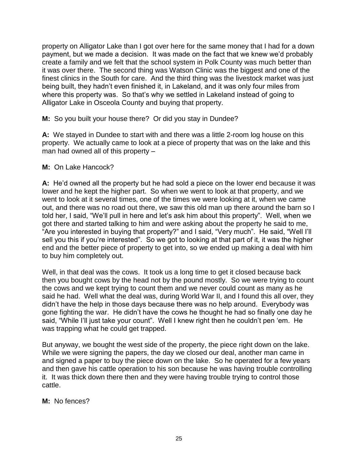property on Alligator Lake than I got over here for the same money that I had for a down payment, but we made a decision. It was made on the fact that we knew we'd probably create a family and we felt that the school system in Polk County was much better than it was over there. The second thing was Watson Clinic was the biggest and one of the finest clinics in the South for care. And the third thing was the livestock market was just being built, they hadn't even finished it, in Lakeland, and it was only four miles from where this property was. So that's why we settled in Lakeland instead of going to Alligator Lake in Osceola County and buying that property.

**M:** So you built your house there? Or did you stay in Dundee?

**A:** We stayed in Dundee to start with and there was a little 2-room log house on this property. We actually came to look at a piece of property that was on the lake and this man had owned all of this property –

## **M:** On Lake Hancock?

**A:** He'd owned all the property but he had sold a piece on the lower end because it was lower and he kept the higher part. So when we went to look at that property, and we went to look at it several times, one of the times we were looking at it, when we came out, and there was no road out there, we saw this old man up there around the barn so I told her, I said, "We'll pull in here and let's ask him about this property". Well, when we got there and started talking to him and were asking about the property he said to me, "Are you interested in buying that property?" and I said, "Very much". He said, "Well I'll sell you this if you're interested". So we got to looking at that part of it, it was the higher end and the better piece of property to get into, so we ended up making a deal with him to buy him completely out.

Well, in that deal was the cows. It took us a long time to get it closed because back then you bought cows by the head not by the pound mostly. So we were trying to count the cows and we kept trying to count them and we never could count as many as he said he had. Well what the deal was, during World War II, and I found this all over, they didn't have the help in those days because there was no help around. Everybody was gone fighting the war. He didn't have the cows he thought he had so finally one day he said, "While I'll just take your count". Well I knew right then he couldn't pen 'em. He was trapping what he could get trapped.

But anyway, we bought the west side of the property, the piece right down on the lake. While we were signing the papers, the day we closed our deal, another man came in and signed a paper to buy the piece down on the lake. So he operated for a few years and then gave his cattle operation to his son because he was having trouble controlling it. It was thick down there then and they were having trouble trying to control those cattle.

**M:** No fences?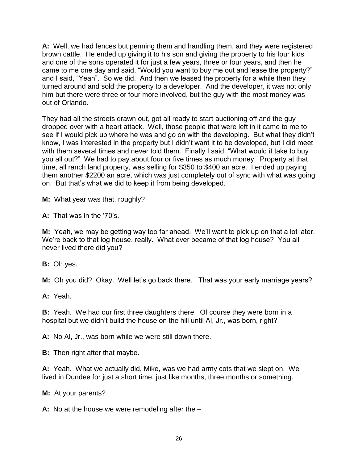**A:** Well, we had fences but penning them and handling them, and they were registered brown cattle. He ended up giving it to his son and giving the property to his four kids and one of the sons operated it for just a few years, three or four years, and then he came to me one day and said, "Would you want to buy me out and lease the property?" and I said, "Yeah". So we did. And then we leased the property for a while then they turned around and sold the property to a developer. And the developer, it was not only him but there were three or four more involved, but the guy with the most money was out of Orlando.

They had all the streets drawn out, got all ready to start auctioning off and the guy dropped over with a heart attack. Well, those people that were left in it came to me to see if I would pick up where he was and go on with the developing. But what they didn't know, I was interested in the property but I didn't want it to be developed, but I did meet with them several times and never told them. Finally I said, "What would it take to buy you all out?" We had to pay about four or five times as much money. Property at that time, all ranch land property, was selling for \$350 to \$400 an acre. I ended up paying them another \$2200 an acre, which was just completely out of sync with what was going on. But that's what we did to keep it from being developed.

**M:** What year was that, roughly?

**A:** That was in the '70's.

**M:** Yeah, we may be getting way too far ahead. We'll want to pick up on that a lot later. We're back to that log house, really. What ever became of that log house? You all never lived there did you?

**B:** Oh yes.

**M:** Oh you did? Okay. Well let's go back there. That was your early marriage years?

**A:** Yeah.

**B:** Yeah. We had our first three daughters there. Of course they were born in a hospital but we didn't build the house on the hill until Al, Jr., was born, right?

**A:** No Al, Jr., was born while we were still down there.

**B:** Then right after that maybe.

**A:** Yeah. What we actually did, Mike, was we had army cots that we slept on. We lived in Dundee for just a short time, just like months, three months or something.

**M:** At your parents?

**A:** No at the house we were remodeling after the –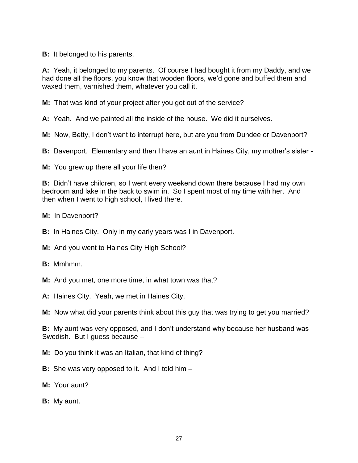**B:** It belonged to his parents.

**A:** Yeah, it belonged to my parents. Of course I had bought it from my Daddy, and we had done all the floors, you know that wooden floors, we'd gone and buffed them and waxed them, varnished them, whatever you call it.

**M:** That was kind of your project after you got out of the service?

**A:** Yeah. And we painted all the inside of the house. We did it ourselves.

**M:** Now, Betty, I don't want to interrupt here, but are you from Dundee or Davenport?

**B:** Davenport. Elementary and then I have an aunt in Haines City, my mother's sister -

**M:** You grew up there all your life then?

**B:** Didn't have children, so I went every weekend down there because I had my own bedroom and lake in the back to swim in. So I spent most of my time with her. And then when I went to high school, I lived there.

**M:** In Davenport?

- **B:** In Haines City. Only in my early years was I in Davenport.
- **M:** And you went to Haines City High School?

**B:** Mmhmm.

- **M:** And you met, one more time, in what town was that?
- **A:** Haines City. Yeah, we met in Haines City.

**M:** Now what did your parents think about this guy that was trying to get you married?

**B:** My aunt was very opposed, and I don't understand why because her husband was Swedish. But I guess because –

**M:** Do you think it was an Italian, that kind of thing?

- **B:** She was very opposed to it. And I told him –
- **M:** Your aunt?
- **B:** My aunt.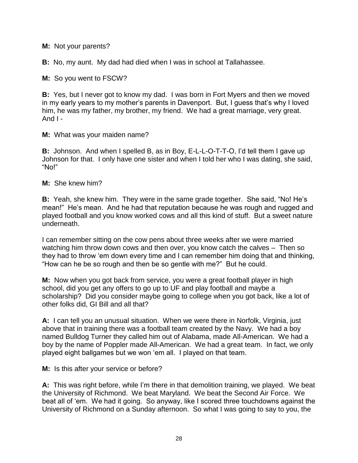**M:** Not your parents?

**B:** No, my aunt. My dad had died when I was in school at Tallahassee.

**M:** So you went to FSCW?

**B:** Yes, but I never got to know my dad. I was born in Fort Myers and then we moved in my early years to my mother's parents in Davenport. But, I guess that's why I loved him, he was my father, my brother, my friend. We had a great marriage, very great. And I -

**M:** What was your maiden name?

**B:** Johnson. And when I spelled B, as in Boy, E-L-L-O-T-T-O, I'd tell them I gave up Johnson for that. I only have one sister and when I told her who I was dating, she said, "No!"

**M:** She knew him?

**B:** Yeah, she knew him. They were in the same grade together. She said, "No! He's mean!" He's mean. And he had that reputation because he was rough and rugged and played football and you know worked cows and all this kind of stuff. But a sweet nature underneath.

I can remember sitting on the cow pens about three weeks after we were married watching him throw down cows and then over, you know catch the calves – Then so they had to throw 'em down every time and I can remember him doing that and thinking, "How can he be so rough and then be so gentle with me?" But he could.

**M:** Now when you got back from service, you were a great football player in high school, did you get any offers to go up to UF and play football and maybe a scholarship? Did you consider maybe going to college when you got back, like a lot of other folks did, GI Bill and all that?

**A:** I can tell you an unusual situation. When we were there in Norfolk, Virginia, just above that in training there was a football team created by the Navy. We had a boy named Bulldog Turner they called him out of Alabama, made All-American. We had a boy by the name of Poppler made All-American. We had a great team. In fact, we only played eight ballgames but we won 'em all. I played on that team.

**M:** Is this after your service or before?

**A:** This was right before, while I'm there in that demolition training, we played. We beat the University of Richmond. We beat Maryland. We beat the Second Air Force. We beat all of 'em. We had it going. So anyway, like I scored three touchdowns against the University of Richmond on a Sunday afternoon. So what I was going to say to you, the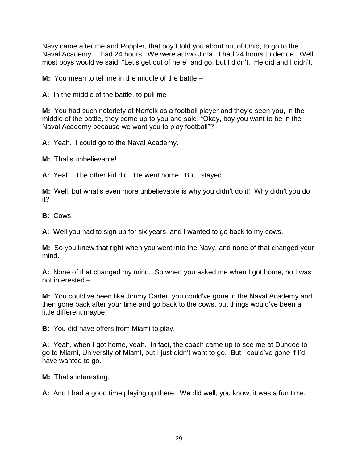Navy came after me and Poppler, that boy I told you about out of Ohio, to go to the Naval Academy. I had 24 hours. We were at Iwo Jima. I had 24 hours to decide. Well most boys would've said, "Let's get out of here" and go, but I didn't. He did and I didn't.

**M:** You mean to tell me in the middle of the battle –

**A:** In the middle of the battle, to pull me –

**M:** You had such notoriety at Norfolk as a football player and they'd seen you, in the middle of the battle, they come up to you and said, "Okay, boy you want to be in the Naval Academy because we want you to play football"?

**A:** Yeah. I could go to the Naval Academy.

**M:** That's unbelievable!

**A:** Yeah. The other kid did. He went home. But I stayed.

**M:** Well, but what's even more unbelievable is why you didn't do it! Why didn't you do it?

**B:** Cows.

**A:** Well you had to sign up for six years, and I wanted to go back to my cows.

**M:** So you knew that right when you went into the Navy, and none of that changed your mind.

**A:** None of that changed my mind. So when you asked me when I got home, no I was not interested –

**M:** You could've been like Jimmy Carter, you could've gone in the Naval Academy and then gone back after your time and go back to the cows, but things would've been a little different maybe.

**B:** You did have offers from Miami to play.

**A:** Yeah, when I got home, yeah. In fact, the coach came up to see me at Dundee to go to Miami, University of Miami, but I just didn't want to go. But I could've gone if I'd have wanted to go.

**M:** That's interesting.

**A:** And I had a good time playing up there. We did well, you know, it was a fun time.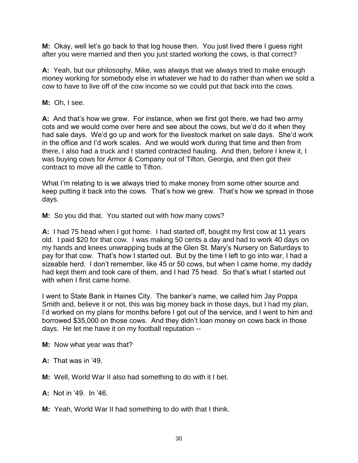**M:** Okay, well let's go back to that log house then. You just lived there I guess right after you were married and then you just started working the cows, is that correct?

**A:** Yeah, but our philosophy, Mike, was always that we always tried to make enough money working for somebody else in whatever we had to do rather than when we sold a cow to have to live off of the cow income so we could put that back into the cows.

**M:** Oh, I see.

**A:** And that's how we grew. For instance, when we first got there, we had two army cots and we would come over here and see about the cows, but we'd do it when they had sale days. We'd go up and work for the livestock market on sale days. She'd work in the office and I'd work scales. And we would work during that time and then from there, I also had a truck and I started contracted hauling. And then, before I knew it, I was buying cows for Armor & Company out of Tifton, Georgia, and then got their contract to move all the cattle to Tifton.

What I'm relating to is we always tried to make money from some other source and keep putting it back into the cows. That's how we grew. That's how we spread in those days.

**M:** So you did that. You started out with how many cows?

**A:** I had 75 head when I got home. I had started off, bought my first cow at 11 years old. I paid \$20 for that cow. I was making 50 cents a day and had to work 40 days on my hands and knees unwrapping buds at the Glen St. Mary's Nursery on Saturdays to pay for that cow. That's how I started out. But by the time I left to go into war, I had a sizeable herd. I don't remember, like 45 or 50 cows, but when I came home, my daddy had kept them and took care of them, and I had 75 head. So that's what I started out with when I first came home.

I went to State Bank in Haines City. The banker's name, we called him Jay Poppa Smith and, believe it or not, this was big money back in those days, but I had my plan, I'd worked on my plans for months before I got out of the service, and I went to him and borrowed \$35,000 on those cows. And they didn't loan money on cows back in those days. He let me have it on my football reputation --

**M:** Now what year was that?

**A:** That was in '49.

**M:** Well, World War II also had something to do with it I bet.

**A:** Not in '49. In '46.

**M:** Yeah, World War II had something to do with that I think.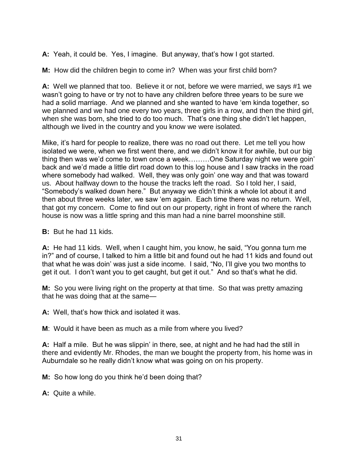**A:** Yeah, it could be. Yes, I imagine. But anyway, that's how I got started.

**M:** How did the children begin to come in? When was your first child born?

**A:** Well we planned that too. Believe it or not, before we were married, we says #1 we wasn't going to have or try not to have any children before three years to be sure we had a solid marriage. And we planned and she wanted to have 'em kinda together, so we planned and we had one every two years, three girls in a row, and then the third girl, when she was born, she tried to do too much. That's one thing she didn't let happen, although we lived in the country and you know we were isolated.

Mike, it's hard for people to realize, there was no road out there. Let me tell you how isolated we were, when we first went there, and we didn't know it for awhile, but our big thing then was we'd come to town once a week………One Saturday night we were goin' back and we'd made a little dirt road down to this log house and I saw tracks in the road where somebody had walked. Well, they was only goin' one way and that was toward us. About halfway down to the house the tracks left the road. So I told her, I said, "Somebody's walked down here." But anyway we didn't think a whole lot about it and then about three weeks later, we saw 'em again. Each time there was no return. Well, that got my concern. Come to find out on our property, right in front of where the ranch house is now was a little spring and this man had a nine barrel moonshine still.

**B:** But he had 11 kids.

**A:** He had 11 kids. Well, when I caught him, you know, he said, "You gonna turn me in?" and of course, I talked to him a little bit and found out he had 11 kids and found out that what he was doin' was just a side income. I said, "No, I'll give you two months to get it out. I don't want you to get caught, but get it out." And so that's what he did.

**M:** So you were living right on the property at that time. So that was pretty amazing that he was doing that at the same—

**A:** Well, that's how thick and isolated it was.

**M**: Would it have been as much as a mile from where you lived?

**A:** Half a mile. But he was slippin' in there, see, at night and he had had the still in there and evidently Mr. Rhodes, the man we bought the property from, his home was in Auburndale so he really didn't know what was going on on his property.

**M:** So how long do you think he'd been doing that?

**A:** Quite a while.